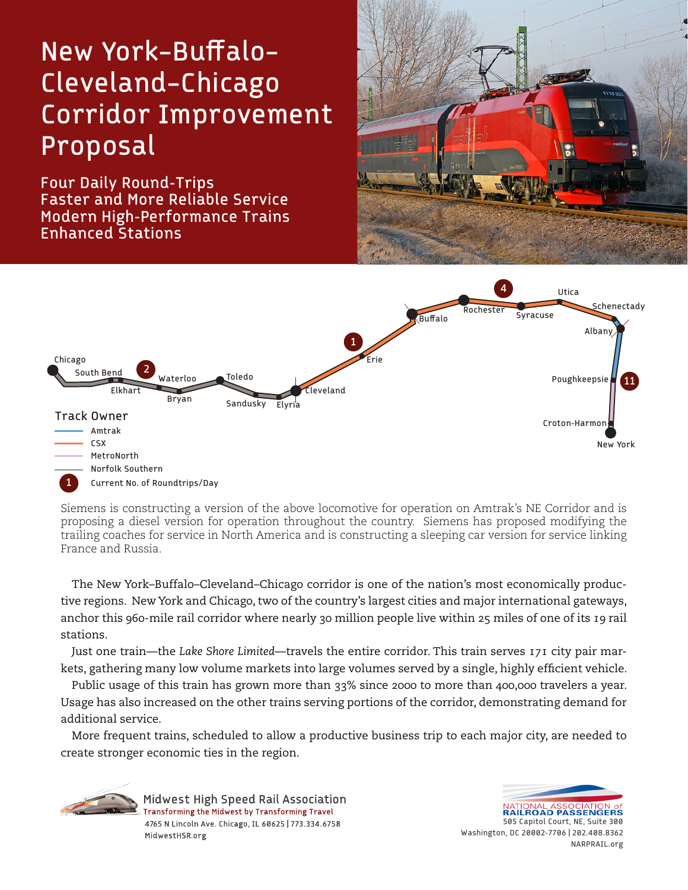# New York–Buffalo– Cleveland–Chicago Corridor Improvement Proposal

Four Daily Round-Trips Faster and More Reliable Service Modern High-Performance Trains Enhanced Stations





Siemens is constructing a version of the above locomotive for operation on Amtrak's NE Corridor and is proposing a diesel version for operation throughout the country. Siemens has proposed modifying the trailing coaches for service in North America and is constructing a sleeping car version for service linking France and Russia.

The New York–Buffalo–Cleveland–Chicago corridor is one of the nation's most economically productive regions. New York and Chicago, two of the country's largest cities and major international gateways, anchor this 960-mile rail corridor where nearly 30 million people live within 25 miles of one of its 19 rail stations.

Just one train—the *Lake Shore Limited*—travels the entire corridor. This train serves 171 city pair markets, gathering many low volume markets into large volumes served by a single, highly efficient vehicle.

Public usage of this train has grown more than 33% since 2000 to more than 400,000 travelers a year. Usage has also increased on the other trains serving portions of the corridor, demonstrating demand for additional service.

More frequent trains, scheduled to allow a productive business trip to each major city, are needed to create stronger economic ties in the region.





**RAILROAD PASSENGERS** 505 Capitol Court, NE, Suite 300 Washington, DC 20002-7706 | 202.408.8362 NARPRAIL.org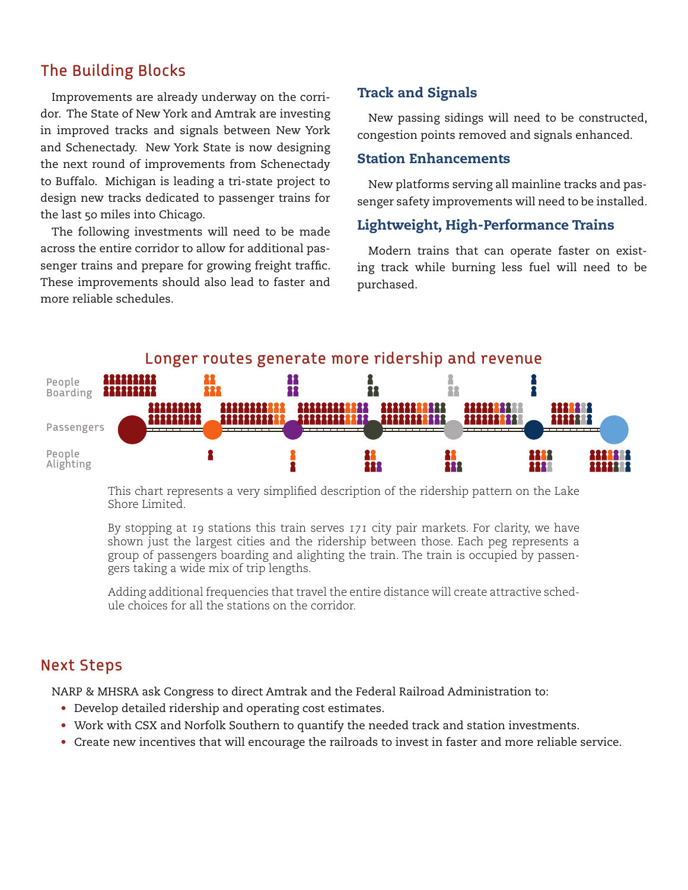## The Building Blocks

Improvements are already underway on the corridor. The State of New York and Amtrak are investing in improved tracks and signals between New York and Schenectady. New York State is now designing the next round of improvements from Schenectady to Buffalo. Michigan is leading a tri-state project to design new tracks dedicated to passenger trains for the last 50 miles into Chicago.

The following investments will need to be made across the entire corridor to allow for additional passenger trains and prepare for growing freight traffic. These improvements should also lead to faster and more reliable schedules.

## Track and Signals

New passing sidings will need to be constructed, congestion points removed and signals enhanced.

#### Station Enhancements

New platforms serving all mainline tracks and passenger safety improvements will need to be installed.

### Lightweight, High-Performance Trains

Modern trains that can operate faster on existing track while burning less fuel will need to be purchased.



This chart represents a very simplified description of the ridership pattern on the Lake Shore Limited.

By stopping at 19 stations this train serves 171 city pair markets. For clarity, we have shown just the largest cities and the ridership between those. Each peg represents a group of passengers boarding and alighting the train. The train is occupied by passengers taking a wide mix of trip lengths.

Adding additional frequencies that travel the entire distance will create attractive schedule choices for all the stations on the corridor.

## Next Steps

NARP & MHSRA ask Congress to direct Amtrak and the Federal Railroad Administration to:

- Develop detailed ridership and operating cost estimates.
- Work with CSX and Norfolk Southern to quantify the needed track and station investments.
- Create new incentives that will encourage the railroads to invest in faster and more reliable service.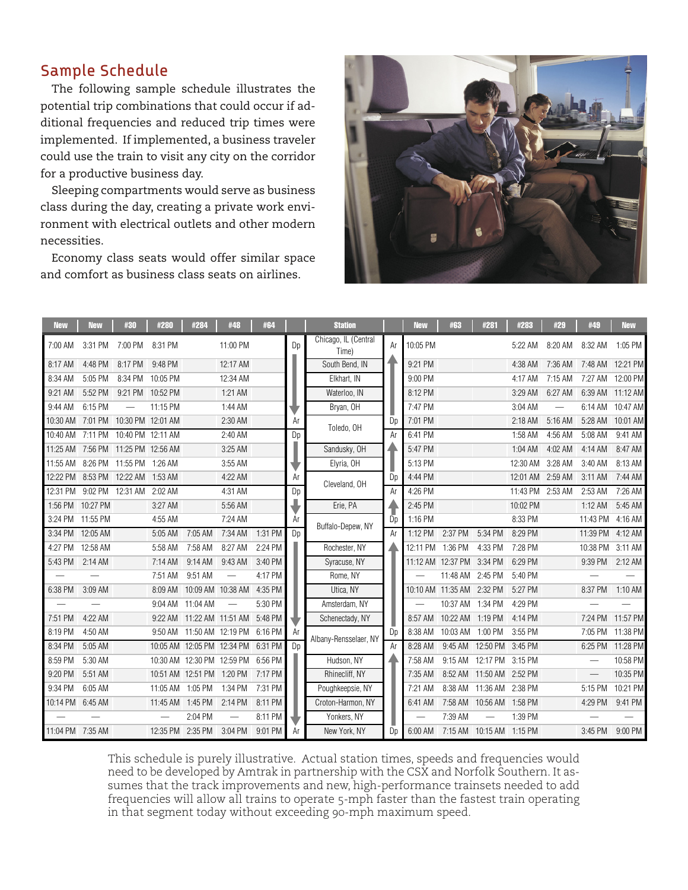## Sample Schedule

The following sample schedule illustrates the potential trip combinations that could occur if additional frequencies and reduced trip times were implemented. If implemented, a business traveler could use the train to visit any city on the corridor for a productive business day.

Sleeping compartments would serve as business class during the day, creating a private work environment with electrical outlets and other modern necessities.

Economy class seats would offer similar space and comfort as business class seats on airlines.



| <b>New</b>       | <b>New</b> | #30               | #280                     | #284              | #48                                | #64     |                | <b>Station</b>                |    | <b>New</b> | #63               | #281                       | #283             | #29                      | #49               | <b>New</b>       |
|------------------|------------|-------------------|--------------------------|-------------------|------------------------------------|---------|----------------|-------------------------------|----|------------|-------------------|----------------------------|------------------|--------------------------|-------------------|------------------|
| 7:00 AM          | 3:31 PM    | 7:00 PM           | 8:31 PM                  |                   | 11:00 PM                           |         | Dp             | Chicago, IL (Central<br>Time) | Ar | 10:05 PM   |                   |                            | 5:22 AM          | 8:20 AM                  | 8:32 AM           | 1:05 PM          |
| 8:17 AM          | 4:48 PM    | 8:17 PM           | 9:48 PM                  |                   | 12:17 AM                           |         |                | South Bend, IN                |    | 9:21 PM    |                   |                            | 4:38 AM          | 7:36 AM                  |                   | 7:48 AM 12:21 PM |
| 8:34 AM          | 5:05 PM    | 8:34 PM           | 10:05 PM                 |                   | 12:34 AM                           |         |                | Elkhart, IN                   |    | 9:00 PM    |                   |                            | 4:17 AM          | 7:15 AM                  | 7:27 AM           | 12:00 PM         |
| 9:21 AM          | 5:52 PM    | 9:21 PM 10:52 PM  |                          |                   | 1:21 AM                            |         |                | Waterloo, IN                  |    | 8:12 PM    |                   |                            | 3:29 AM          | 6:27 AM                  |                   | 6:39 AM 11:12 AM |
| 9:44 AM          | 6:15 PM    |                   | 11:15 PM                 |                   | 1:44 AM                            |         |                | Bryan, OH                     |    | 7:47 PM    |                   |                            | 3:04 AM          | $\overline{\phantom{m}}$ | 6:14 AM           | 10:47 AM         |
| 10:30 AM         | 7:01 PM    | 10:30 PM 12:01 AM |                          |                   | 2:30 AM                            |         | Ar             | Toledo, OH                    | Dp | 7:01 PM    |                   |                            | 2:18 AM          | 5:16 AM                  | 5:28 AM           | 10:01 AM         |
| 10:40 AM         | 7:11 PM    | 10:40 PM 12:11 AM |                          |                   | 2:40 AM                            |         | Dp             |                               | Ar | 6:41 PM    |                   |                            | 1:58 AM          | 4:56 AM                  | 5:08 AM           | 9:41 AM          |
| 11:25 AM         | 7:56 PM    | 11:25 PM 12:56 AM |                          |                   | 3:25 AM                            |         |                | Sandusky, OH                  | 4  | 5:47 PM    |                   |                            | 1:04 AM          | 4:02 AM                  | 4:14 AM           | 8:47 AM          |
| 11:55 AM         | 8:26 PM    | 11:55 PM          | 1:26 AM                  |                   | 3:55 AM                            |         |                | Elyria, OH                    |    | 5:13 PM    |                   |                            | 12:30 AM         | 3:28 AM                  | 3:40 AM           | 8:13 AM          |
| 12:22 PM         | 8:53 PM    | 12:22 AM          | 1:53 AM                  |                   | 4:22 AM                            |         | Ar             | Cleveland, OH                 | Dp | 4:44 PM    |                   |                            | 12:01 AM         | 2:59 AM                  | 3:11 AM           | 7:44 AM          |
| 12:31 PM         |            | 9:02 PM 12:31 AM  | 2:02 AM                  |                   | 4:31 AM                            |         | Dp             |                               | Ar | 4:26 PM    |                   |                            | 11:43 PM 2:53 AM |                          | 2:53 AM           | 7:26 AM          |
| 1:56 PM          | 10:27 PM   |                   | 3:27 AM                  |                   | 5:56 AM                            |         |                | Erie, PA                      |    | 2:45 PM    |                   |                            | 10:02 PM         |                          | $1:12$ AM         | 5:45 AM          |
| 3:24 PM          | 11:55 PM   |                   | 4:55 AM                  |                   | 7:24 AM                            |         | Ar             |                               | Do | 1:16 PM    |                   |                            | 8:33 PM          |                          | 11:43 PM          | 4:16 AM          |
| 3:34 PM          | 12:05 AM   |                   | 5:05 AM                  | 7:05 AM           | 7:34 AM                            | 1:31 PM | D <sub>D</sub> | Buffalo-Depew, NY             | Ar | 1:12 PM    | 2:37 PM           | 5:34 PM                    | 8:29 PM          |                          | 11:39 PM 4:12 AM  |                  |
| 4:27 PM          | 12:58 AM   |                   | 5:58 AM                  | 7:58 AM           | 8:27 AM                            | 2:24 PM |                | Rochester, NY                 |    |            | 12:11 PM 1:36 PM  | 4:33 PM                    | 7:28 PM          |                          | 10:38 PM          | 3:11 AM          |
| 5:43 PM          | 2:14 AM    |                   | 7:14 AM                  | 9:14 AM           | 9:43 AM                            | 3:40 PM |                | Syracuse, NY                  |    |            | 11:12 AM 12:37 PM | 3:34 PM                    | 6:29 PM          |                          | 9:39 PM           | 2:12 AM          |
|                  |            |                   | 7:51 AM                  | 9:51 AM           |                                    | 4:17 PM |                | Rome, NY                      |    |            | 11:48 AM          | 2:45 PM                    | 5:40 PM          |                          |                   |                  |
| 6:38 PM          | 3:09 AM    |                   | 8:09 AM                  | 10:09 AM 10:38 AM |                                    | 4:35 PM |                | Utica, NY                     |    |            | 10:10 AM 11:35 AM | 2:32 PM                    | 5:27 PM          |                          | 8:37 PM           | 1:10 AM          |
|                  |            |                   | 9:04 AM                  | 11:04 AM          | $\overline{\phantom{0}}$           | 5:30 PM |                | Amsterdam, NY                 |    |            | 10:37 AM 1:34 PM  |                            | 4:29 PM          |                          |                   |                  |
| 7:51 PM          | 4:22 AM    |                   | 9:22 AM                  | 11:22 AM 11:51 AM |                                    | 5:48 PM |                | Schenectady, NY               |    | 8:57 AM    | 10:22 AM          | 1:19 PM                    | 4:14 PM          |                          | 7:24 PM           | 11:57 PM         |
| 8:19 PM          | 4:50 AM    |                   | 9:50 AM                  |                   | 11:50 AM 12:19 PM 6:16 PM          |         | Ar             | Albany-Rensselaer, NY         | Dp | 8:38 AM    | 10:03 AM 1:00 PM  |                            | 3:55 PM          |                          |                   | 7:05 PM 11:38 PM |
| 8:34 PM          | 5:05 AM    |                   | 10:05 AM                 | 12:05 PM 12:34 PM |                                    | 6:31 PM | D <sub>D</sub> |                               | Ar | 8:28 AM    | 9:45 AM           | 12:50 PM 3:45 PM           |                  |                          |                   | 6:25 PM 11:28 PM |
| 8:59 PM          | 5:30 AM    |                   |                          |                   | 10:30 AM 12:30 PM 12:59 PM 6:56 PM |         |                | Hudson, NY                    |    | 7:58 AM    |                   | 9:15 AM 12:17 PM 3:15 PM   |                  |                          |                   | 10:58 PM         |
| 9:20 PM          | 5:51 AM    |                   | 10:51 AM                 | 12:51 PM 1:20 PM  |                                    | 7:17 PM |                | Rhinecliff, NY                |    | 7:35 AM    | 8:52 AM           | 11:50 AM 2:52 PM           |                  |                          | $\qquad \qquad -$ | 10:35 PM         |
| 9:34 PM          | 6:05 AM    |                   | 11:05 AM                 | 1:05 PM           | 1:34 PM                            | 7:31 PM |                | Poughkeepsie, NY              |    | 7:21 AM    |                   | 8:38 AM 11:36 AM 2:38 PM   |                  |                          | 5:15 PM           | 10:21 PM         |
| 10:14 PM         | 6:45 AM    |                   | 11:45 AM                 | 1:45 PM           | 2:14 PM                            | 8:11 PM |                | Croton-Harmon, NY             |    | 6:41 AM    | 7:58 AM           | 10:56 AM 1:58 PM           |                  |                          | 4:29 PM           | 9:41 PM          |
|                  |            |                   | $\overline{\phantom{m}}$ | 2:04 PM           | $\overline{\phantom{0}}$           | 8:11 PM |                | Yonkers, NY                   |    |            | 7:39 AM           |                            | 1:39 PM          |                          |                   |                  |
| 11:04 PM 7:35 AM |            |                   | 12:35 PM 2:35 PM         |                   | 3:04 PM                            | 9:01 PM | Ar             | New York, NY                  | Dn | 6:00 AM    |                   | 7:15 AM  10:15 AM  1:15 PM |                  |                          | 3:45 PM           | 9:00 PM          |

This schedule is purely illustrative. Actual station times, speeds and frequencies would need to be developed by Amtrak in partnership with the CSX and Norfolk Southern. It assumes that the track improvements and new, high-performance trainsets needed to add frequencies will allow all trains to operate 5-mph faster than the fastest train operating in that segment today without exceeding 90-mph maximum speed.